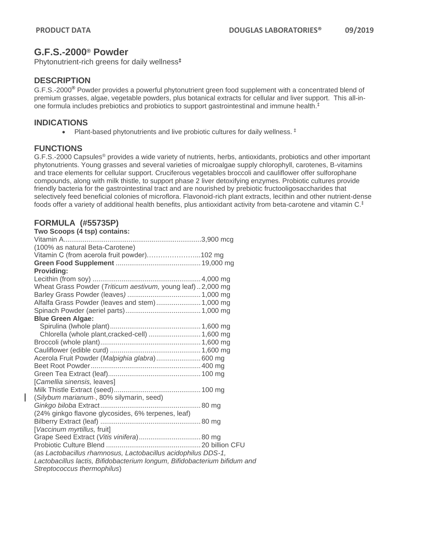# **G.F.S.-2000® Powder**

Phytonutrient-rich greens for daily wellness**‡**

## **DESCRIPTION**

G.F.S.-2000**®** Powder provides a powerful phytonutrient green food supplement with a concentrated blend of premium grasses, algae, vegetable powders, plus botanical extracts for cellular and liver support. This all-inone formula includes prebiotics and probiotics to support gastrointestinal and immune health.‡

### **INDICATIONS**

• Plant-based phytonutrients and live probiotic cultures for daily wellness.<sup>‡</sup>

### **FUNCTIONS**

G.F.S.-2000 Capsules® provides a wide variety of nutrients, herbs, antioxidants, probiotics and other important phytonutrients. Young grasses and several varieties of microalgae supply chlorophyll, carotenes, B-vitamins and trace elements for cellular support. Cruciferous vegetables broccoli and cauliflower offer sulforophane compounds, along with milk thistle, to support phase 2 liver detoxifying enzymes. Probiotic cultures provide friendly bacteria for the gastrointestinal tract and are nourished by prebiotic fructooligosaccharides that selectively feed beneficial colonies of microflora. Flavonoid-rich plant extracts, lecithin and other nutrient-dense foods offer a variety of additional health benefits, plus antioxidant activity from beta-carotene and vitamin C. ‡

## **FORMULA (#55735P)**

| Two Scoops (4 tsp) contains:                                              |  |
|---------------------------------------------------------------------------|--|
|                                                                           |  |
| (100% as natural Beta-Carotene)                                           |  |
| Vitamin C (from acerola fruit powder)102 mg                               |  |
|                                                                           |  |
| Providing:                                                                |  |
|                                                                           |  |
| Wheat Grass Powder (Triticum aestivum, young leaf)  2,000 mg              |  |
|                                                                           |  |
| Alfalfa Grass Powder (leaves and stem) 1,000 mg                           |  |
|                                                                           |  |
| <b>Blue Green Algae:</b>                                                  |  |
|                                                                           |  |
| Chlorella (whole plant,cracked-cell)  1,600 mg                            |  |
|                                                                           |  |
|                                                                           |  |
| Acerola Fruit Powder (Malpighia glabra) 600 mg                            |  |
|                                                                           |  |
|                                                                           |  |
| [Camellia sinensis, leaves]                                               |  |
|                                                                           |  |
| (Silybum marianum-, 80% silymarin, seed)                                  |  |
|                                                                           |  |
| (24% ginkgo flavone glycosides, 6% terpenes, leaf)                        |  |
|                                                                           |  |
| [Vaccinum myrtillus, fruit]                                               |  |
| Grape Seed Extract (Vitis vinifera) 80 mg                                 |  |
|                                                                           |  |
| (as Lactobacillus rhamnosus, Lactobacillus acidophilus DDS-1,             |  |
| Lactobacillus lactis, Bifidobacterium longum, Bifidobacterium bifidum and |  |
| Streptococcus thermophilus)                                               |  |